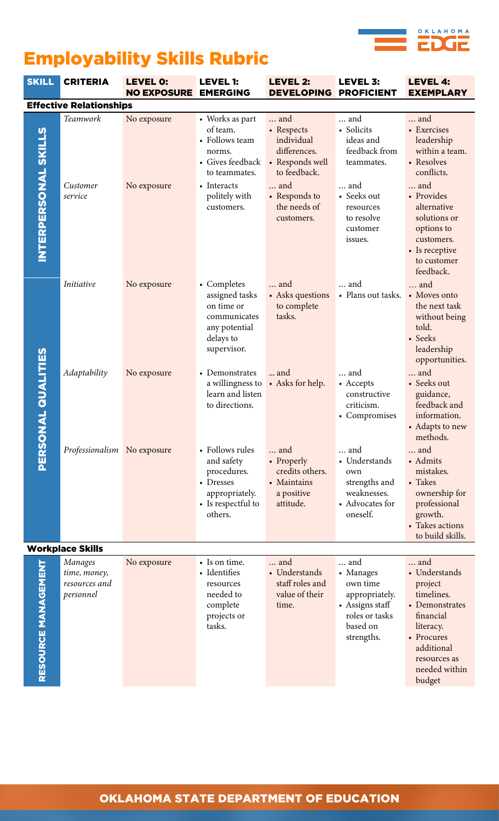

## Employability Skills Rubric

| <b>SKILL</b>                   | <b>CRITERIA</b>                                       | <b>LEVEL 0:</b><br><b>NO EXPOSURE</b> | <b>LEVEL 1:</b><br><b>EMERGING</b>                                                                                                         | <b>LEVEL 2:</b><br><b>DEVELOPING</b>                                                                                                     | <b>LEVEL 3:</b><br><b>PROFICIENT</b>                                                                                                  | <b>LEVEL 4:</b><br><b>EXEMPLARY</b>                                                                                                                                                                          |  |  |
|--------------------------------|-------------------------------------------------------|---------------------------------------|--------------------------------------------------------------------------------------------------------------------------------------------|------------------------------------------------------------------------------------------------------------------------------------------|---------------------------------------------------------------------------------------------------------------------------------------|--------------------------------------------------------------------------------------------------------------------------------------------------------------------------------------------------------------|--|--|
| <b>Effective Relationships</b> |                                                       |                                       |                                                                                                                                            |                                                                                                                                          |                                                                                                                                       |                                                                                                                                                                                                              |  |  |
| <b>INTERPERSONAL SKILLS</b>    | Teamwork<br>Customer<br>service                       | No exposure<br>No exposure            | • Works as part<br>of team.<br>• Follows team<br>norms.<br>• Gives feedback<br>to teammates.<br>• Interacts<br>politely with<br>customers. | and<br>• Respects<br>individual<br>differences.<br>• Responds well<br>to feedback.<br>and<br>• Responds to<br>the needs of<br>customers. | and<br>• Solicits<br>ideas and<br>feedback from<br>teammates.<br>and<br>• Seeks out<br>resources<br>to resolve<br>customer<br>issues. | and<br>• Exercises<br>leadership<br>within a team.<br>• Resolves<br>conflicts.<br>and<br>• Provides<br>alternative<br>solutions or<br>options to<br>customers.<br>• Is receptive<br>to customer<br>feedback. |  |  |
|                                | Initiative                                            | No exposure                           | • Completes<br>assigned tasks<br>on time or<br>communicates<br>any potential<br>delays to<br>supervisor.                                   | and<br>• Asks questions<br>to complete<br>tasks.                                                                                         | and<br>- Plans out tasks.                                                                                                             | and<br>• Moves onto<br>the next task<br>without being<br>told.<br>• Seeks<br>leadership<br>opportunities.                                                                                                    |  |  |
| <b>ONAL QUALITIES</b>          | Adaptability                                          | No exposure                           | • Demonstrates<br>a willingness to<br>learn and listen<br>to directions.                                                                   | and<br>• Asks for help.                                                                                                                  | and<br>• Accepts<br>constructive<br>criticism.<br>• Compromises                                                                       | and<br>• Seeks out<br>guidance,<br>feedback and<br>information.<br>• Adapts to new<br>methods.                                                                                                               |  |  |
| PERS                           | Professionalism No exposure                           |                                       | • Follows rules<br>and safety<br>procedures.<br>• Dresses<br>appropriately.<br>• Is respectful to<br>others.                               | and<br>• Properly<br>credits others.<br>• Maintains<br>a positive<br>attitude.                                                           | and<br>• Understands<br>own<br>strengths and<br>weaknesses.<br>• Advocates for<br>oneself.                                            | and<br>• Admits<br>mistakes.<br>• Takes<br>ownership for<br>professional<br>growth.<br>• Takes actions<br>to build skills.                                                                                   |  |  |
|                                | <b>Workplace Skills</b>                               |                                       |                                                                                                                                            |                                                                                                                                          |                                                                                                                                       |                                                                                                                                                                                                              |  |  |
| RESOURCE MANAGEMENT            | Manages<br>time, money,<br>resources and<br>personnel | No exposure                           | • Is on time.<br>• Identifies<br>resources<br>needed to<br>complete<br>projects or<br>tasks.                                               | and<br>• Understands<br>staff roles and<br>value of their<br>time.                                                                       | and<br>• Manages<br>own time<br>appropriately.<br>• Assigns staff<br>roles or tasks<br>based on<br>strengths.                         | and<br>• Understands<br>project<br>timelines.<br>• Demonstrates<br>financial<br>literacy.<br>• Procures<br>additional<br>resources as<br>needed within<br>budget                                             |  |  |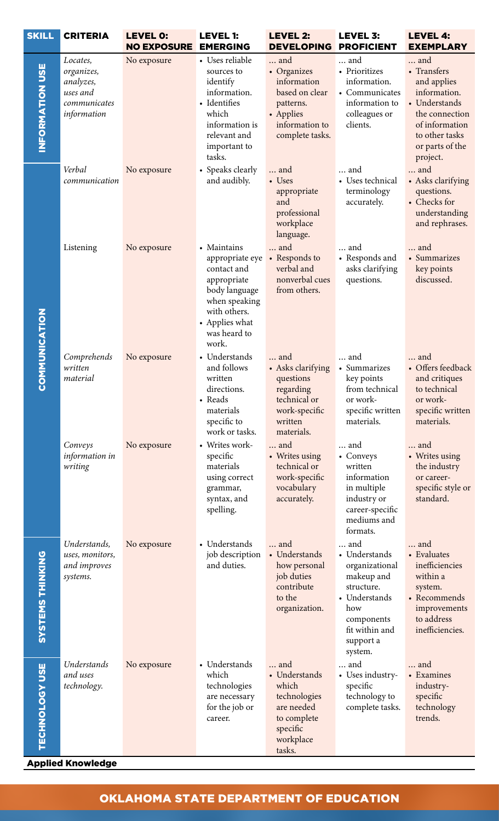| <b>SKILL</b>            | <b>CRITERIA</b>                                                                | <b>LEVEL 0:</b><br><b>NO EXPOSURE</b> | <b>LEVEL 1:</b><br><b>EMERGING</b>                                                                                                                        | <b>LEVEL 2:</b><br><b>DEVELOPING</b>                                                                               | <b>LEVEL 3:</b><br><b>PROFICIENT</b>                                                                                                               | <b>LEVEL 4:</b><br><b>EXEMPLARY</b>                                                                                                                     |
|-------------------------|--------------------------------------------------------------------------------|---------------------------------------|-----------------------------------------------------------------------------------------------------------------------------------------------------------|--------------------------------------------------------------------------------------------------------------------|----------------------------------------------------------------------------------------------------------------------------------------------------|---------------------------------------------------------------------------------------------------------------------------------------------------------|
| INFORMATION USE         | Locates,<br>organizes,<br>analyzes,<br>uses and<br>communicates<br>information | No exposure                           | • Uses reliable<br>sources to<br>identify<br>information.<br>• Identifies<br>which<br>information is<br>relevant and<br>important to<br>tasks.            | and<br>• Organizes<br>information<br>based on clear<br>patterns.<br>• Applies<br>information to<br>complete tasks. | and<br>• Prioritizes<br>information.<br>• Communicates<br>information to<br>colleagues or<br>clients.                                              | and<br>• Transfers<br>and applies<br>information.<br>• Understands<br>the connection<br>of information<br>to other tasks<br>or parts of the<br>project. |
| <b>COMMUNICATION</b>    | Verbal<br>communication                                                        | No exposure                           | • Speaks clearly<br>and audibly.                                                                                                                          | and<br>• Uses<br>appropriate<br>and<br>professional<br>workplace<br>language.                                      | and<br>• Uses technical<br>terminology<br>accurately.                                                                                              | and<br>• Asks clarifying<br>questions.<br>• Checks for<br>understanding<br>and rephrases.                                                               |
|                         | Listening                                                                      | No exposure                           | • Maintains<br>appropriate eye<br>contact and<br>appropriate<br>body language<br>when speaking<br>with others.<br>• Applies what<br>was heard to<br>work. | and<br>• Responds to<br>verbal and<br>nonverbal cues<br>from others.                                               | and<br>• Responds and<br>asks clarifying<br>questions.                                                                                             | and<br>• Summarizes<br>key points<br>discussed.                                                                                                         |
|                         | Comprehends<br>written<br>material                                             | No exposure                           | • Understands<br>and follows<br>written<br>directions.<br>• Reads<br>materials<br>specific to<br>work or tasks.                                           | and<br>• Asks clarifying<br>questions<br>regarding<br>technical or<br>work-specific<br>written<br>materials.       | and<br>• Summarizes<br>key points<br>from technical<br>or work-<br>specific written<br>materials.                                                  | and<br>• Offers feedback<br>and critiques<br>to technical<br>or work-<br>specific written<br>materials.                                                 |
|                         | Conveys<br>information in<br>writing                                           | No exposure                           | • Writes work-<br>specific<br>materials<br>using correct<br>grammar,<br>syntax, and<br>spelling.                                                          | and<br>• Writes using<br>technical or<br>work-specific<br>vocabulary<br>accurately.                                | and<br>• Conveys<br>written<br>information<br>in multiple<br>industry or<br>career-specific<br>mediums and<br>formats.                             | and<br>• Writes using<br>the industry<br>or career-<br>specific style or<br>standard.                                                                   |
| <b>SYSTEMS THINKING</b> | Understands,<br>uses, monitors,<br>and improves<br>systems.                    | No exposure                           | • Understands<br>job description<br>and duties.                                                                                                           | and<br>• Understands<br>how personal<br>job duties<br>contribute<br>to the<br>organization.                        | and<br>• Understands<br>organizational<br>makeup and<br>structure.<br>• Understands<br>how<br>components<br>fit within and<br>support a<br>system. | and<br>• Evaluates<br>inefficiencies<br>within a<br>system.<br>• Recommends<br>improvements<br>to address<br>inefficiencies.                            |
| <b>TECHNOLOGY USE</b>   | Understands<br>and uses<br>technology.                                         | No exposure                           | • Understands<br>which<br>technologies<br>are necessary<br>for the job or<br>career.                                                                      | and<br>• Understands<br>which<br>technologies<br>are needed<br>to complete<br>specific<br>workplace<br>tasks.      | and<br>• Uses industry-<br>specific<br>technology to<br>complete tasks.                                                                            | and<br>• Examines<br>industry-<br>specific<br>technology<br>trends.                                                                                     |

## Applied Knowledge

## OKLAHOMA STATE DEPARTMENT OF EDUCATION